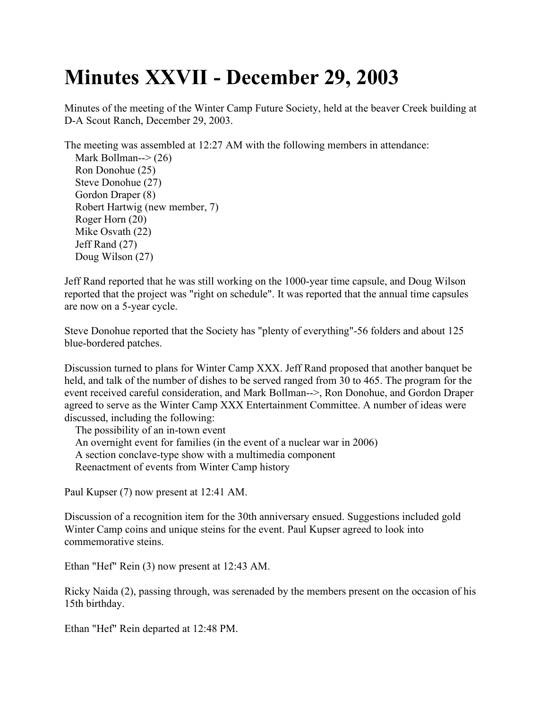## **Minutes XXVII - December 29, 2003**

Minutes of the meeting of the Winter Camp Future Society, held at the beaver Creek building at D-A Scout Ranch, December 29, 2003.

The meeting was assembled at 12:27 AM with the following members in attendance: Mark Bollman-- $>(26)$ Ron Donohue (25) Steve Donohue (27) Gordon Draper (8) Robert Hartwig (new member, 7) Roger Horn (20) Mike Osvath (22) Jeff Rand (27) Doug Wilson (27)

Jeff Rand reported that he was still working on the 1000-year time capsule, and Doug Wilson reported that the project was "right on schedule". It was reported that the annual time capsules are now on a 5-year cycle.

Steve Donohue reported that the Society has "plenty of everything"-56 folders and about 125 blue-bordered patches.

Discussion turned to plans for Winter Camp XXX. Jeff Rand proposed that another banquet be held, and talk of the number of dishes to be served ranged from 30 to 465. The program for the event received careful consideration, and Mark Bollman-->, Ron Donohue, and Gordon Draper agreed to serve as the Winter Camp XXX Entertainment Committee. A number of ideas were discussed, including the following:

The possibility of an in-town event An overnight event for families (in the event of a nuclear war in 2006) A section conclave-type show with a multimedia component Reenactment of events from Winter Camp history

Paul Kupser (7) now present at 12:41 AM.

Discussion of a recognition item for the 30th anniversary ensued. Suggestions included gold Winter Camp coins and unique steins for the event. Paul Kupser agreed to look into commemorative steins.

Ethan "Hef" Rein (3) now present at 12:43 AM.

Ricky Naida (2), passing through, was serenaded by the members present on the occasion of his 15th birthday.

Ethan "Hef" Rein departed at 12:48 PM.